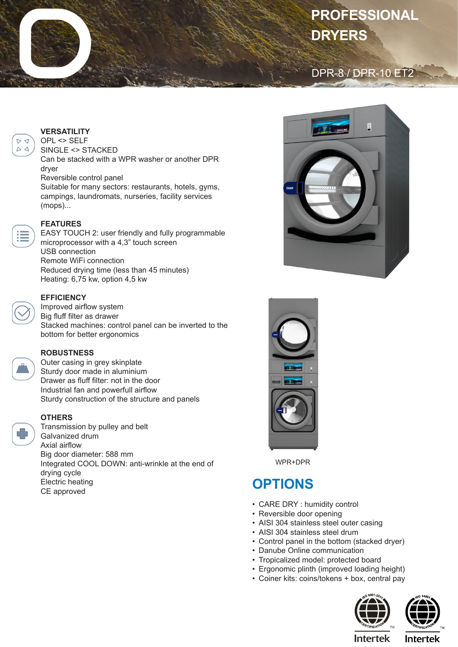# **PROFESSIONAL DRYERS**

### DPR-8 / DPR-10 ET2



OPL <> SELF

SINGLE <> STACKED Can be stacked with a WPR washer or another DPR dryer Reversible control panel

Suitable for many sectors: restaurants, hotels, gyms, campings, laundromats, nurseries, facility services (mops)...



 $D \nvert d$  $\Delta$ 

#### **FEATURES**

EASY TOUCH 2: user friendly and fully programmable microprocessor with a 4,3" touch screen USB connection Remote WiFi connection Reduced drying time (less than 45 minutes) Heating: 6,75 kw, option 4,5 kw



#### **EFFICIENCY**

Improved airflow system Big fluff filter as drawer Stacked machines: control panel can be inverted to the bottom for better ergonomics

#### **ROBUSTNESS**

Outer casing in grey skinplate Sturdy door made in aluminium Drawer as fluff filter: not in the door Industrial fan and powerfull airflow Sturdy construction of the structure and panels

#### **OTHERS**

Transmission by pulley and belt Galvanized drum Axial airflow Big door diameter: 588 mm Integrated COOL DOWN: anti-wrinkle at the end of drying cycle Electric heating CE approved





WPR+DPR

## **OPTIONS**

- CARE DRY : humidity control
- Reversible door opening
- AISI 304 stainless steel outer casing
- AISI 304 stainless steel drum
- Control panel in the bottom (stacked dryer)
- Danube Online communication
- Tropicalized model: protected board
- Ergonomic plinth (improved loading height)
- Coiner kits: coins/tokens + box, central pay





**Intertek** 

**Intertek**